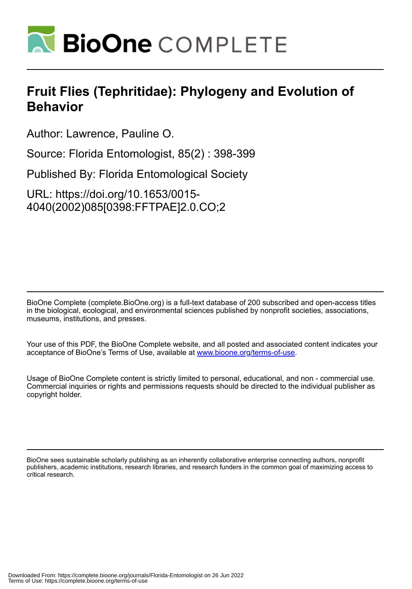

## **Fruit Flies (Tephritidae): Phylogeny and Evolution of Behavior**

Author: Lawrence, Pauline O.

Source: Florida Entomologist, 85(2) : 398-399

Published By: Florida Entomological Society

URL: https://doi.org/10.1653/0015- 4040(2002)085[0398:FFTPAE]2.0.CO;2

BioOne Complete (complete.BioOne.org) is a full-text database of 200 subscribed and open-access titles in the biological, ecological, and environmental sciences published by nonprofit societies, associations, museums, institutions, and presses.

Your use of this PDF, the BioOne Complete website, and all posted and associated content indicates your acceptance of BioOne's Terms of Use, available at www.bioone.org/terms-of-use.

Usage of BioOne Complete content is strictly limited to personal, educational, and non - commercial use. Commercial inquiries or rights and permissions requests should be directed to the individual publisher as copyright holder.

BioOne sees sustainable scholarly publishing as an inherently collaborative enterprise connecting authors, nonprofit publishers, academic institutions, research libraries, and research funders in the common goal of maximizing access to critical research.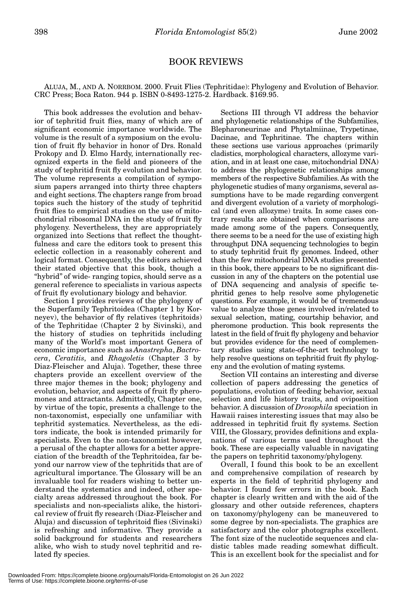## BOOK REVIEWS

ALUJA, M., AND A. NORRBOM. 2000. Fruit Flies (Tephritidae): Phylogeny and Evolution of Behavior. CRC Press; Boca Raton. 944 p. ISBN 0-8493-1275-2. Hardback. \$169.95.

This book addresses the evolution and behavior of tephritid fruit flies, many of which are of significant economic importance worldwide. The volume is the result of a symposium on the evolution of fruit fly behavior in honor of Drs. Ronald Prokopy and D. Elmo Hardy, internationally recognized experts in the field and pioneers of the study of tephritid fruit fly evolution and behavior. The volume represents a compilation of symposium papers arranged into thirty three chapters and eight sections. The chapters range from broad topics such the history of the study of tephritid fruit flies to empirical studies on the use of mitochondrial ribosomal DNA in the study of fruit fly phylogeny. Nevertheless, they are appropriately organized into Sections that reflect the thoughtfulness and care the editors took to present this eclectic collection in a reasonably coherent and logical format. Consequently, the editors achieved their stated objective that this book, though a "hybrid" of wide- ranging topics, should serve as a general reference to specialists in various aspects of fruit fly evolutionary biology and behavior.

Section I provides reviews of the phylogeny of the Superfamily Tephritoidea (Chapter 1 by Korneyev), the behavior of fly relatives (tephritoids) of the Tephritidae (Chapter 2 by Sivinski), and the history of studies on tephritids including many of the World's most important Genera of economic importance such as *Anastrepha*, *Bactrocera*, *Ceratitis*, and *Rhagoletis* (Chapter 3 by Diaz-Fleischer and Aluja). Together, these three chapters provide an excellent overview of the three major themes in the book; phylogeny and evolution, behavior, and aspects of fruit fly pheromones and attractants. Admittedly, Chapter one, by virtue of the topic, presents a challenge to the non-taxonomist, especially one unfamiliar with tephritid systematics. Nevertheless, as the editors indicate, the book is intended primarily for specialists. Even to the non-taxonomist however, a perusal of the chapter allows for a better appreciation of the breadth of the Tephritoidea, far beyond our narrow view of the tephritids that are of agricultural importance. The Glossary will be an invaluable tool for readers wishing to better understand the systematics and indeed, other specialty areas addressed throughout the book. For specialists and non-specialists alike, the historical review of fruit fly research (Diaz-Fleischer and Aluja) and discussion of tephritoid flies (Sivinski) is refreshing and informative. They provide a solid background for students and researchers alike, who wish to study novel tephritid and related fly species.

Sections III through VI address the behavior and phylogenetic relationships of the Subfamilies, Blepharoneurinae and Phytalmiinae, Trypetinae, Dacinae, and Tephritinae. The chapters within these sections use various approaches (primarily cladistics, morphological characters, allozyme variation, and in at least one case, mitochondrial DNA) to address the phylogenetic relationships among members of the respective Subfamilies. As with the phylogenetic studies of many organisms, several assumptions have to be made regarding convergent and divergent evolution of a variety of morphological (and even allozyme) traits. In some cases contrary results are obtained when comparisons are made among some of the papers. Consequently, there seems to be a need for the use of existing high throughput DNA sequencing technologies to begin to study tephritid fruit fly genomes. Indeed, other than the few mitochondrial DNA studies presented in this book, there appears to be no significant discussion in any of the chapters on the potential use of DNA sequencing and analysis of specific tephritid genes to help resolve some phylogenetic questions. For example, it would be of tremendous value to analyze those genes involved in/related to sexual selection, mating, courtship behavior, and pheromone production. This book represents the latest in the field of fruit fly phylogeny and behavior but provides evidence for the need of complementary studies using state-of-the-art technology to help resolve questions on tephritid fruit fly phylogeny and the evolution of mating systems.

Section VII contains an interesting and diverse collection of papers addressing the genetics of populations, evolution of feeding behavior, sexual selection and life history traits, and oviposition behavior. A discussion of *Drosophila* speciation in Hawaii raises interesting issues that may also be addressed in tephritid fruit fly systems. Section VIII, the Glossary, provides definitions and explanations of various terms used throughout the book. These are especially valuable in navigating the papers on tephritid taxonomy/phylogeny.

Overall, I found this book to be an excellent and comprehensive compilation of research by experts in the field of tephritid phylogeny and behavior. I found few errors in the book. Each chapter is clearly written and with the aid of the glossary and other outside references, chapters on taxonomy/phylogeny can be maneuvered to some degree by non-specialists. The graphics are satisfactory and the color photographs excellent. The font size of the nucleotide sequences and cladistic tables made reading somewhat difficult. This is an excellent book for the specialist and for